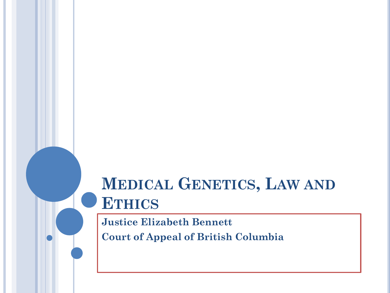# **MEDICAL GENETICS, LAW AND ETHICS**

**Justice Elizabeth Bennett Court of Appeal of British Columbia**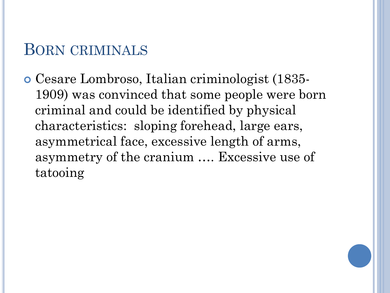#### BORN CRIMINALS

 Cesare Lombroso, Italian criminologist (1835- 1909) was convinced that some people were born criminal and could be identified by physical characteristics: sloping forehead, large ears, asymmetrical face, excessive length of arms, asymmetry of the cranium …. Excessive use of tatooing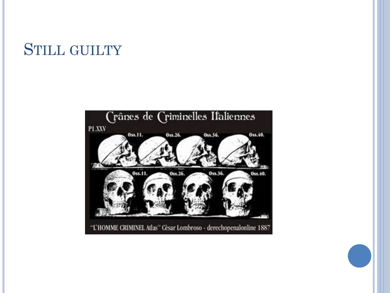#### STILL GUILTY

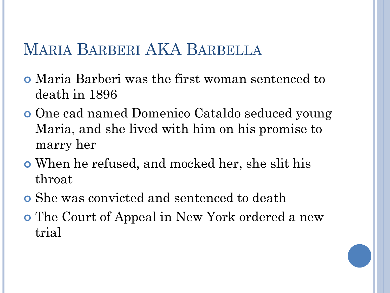## MARIA BARBERI AKA BARBELLA

- Maria Barberi was the first woman sentenced to death in 1896
- One cad named Domenico Cataldo seduced young Maria, and she lived with him on his promise to marry her
- When he refused, and mocked her, she slit his throat
- She was convicted and sentenced to death
- The Court of Appeal in New York ordered a new trial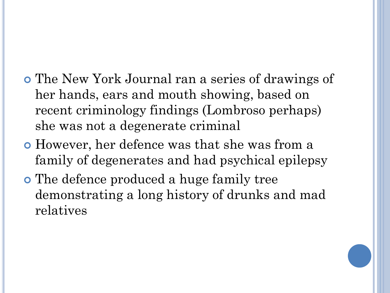- The New York Journal ran a series of drawings of her hands, ears and mouth showing, based on recent criminology findings (Lombroso perhaps) she was not a degenerate criminal
- However, her defence was that she was from a family of degenerates and had psychical epilepsy
- The defence produced a huge family tree demonstrating a long history of drunks and mad relatives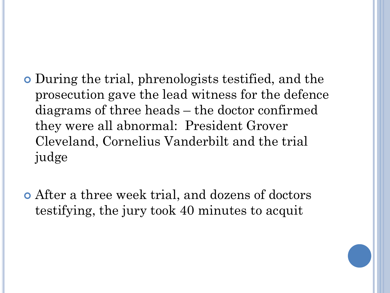- During the trial, phrenologists testified, and the prosecution gave the lead witness for the defence diagrams of three heads – the doctor confirmed they were all abnormal: President Grover Cleveland, Cornelius Vanderbilt and the trial judge
- After a three week trial, and dozens of doctors testifying, the jury took 40 minutes to acquit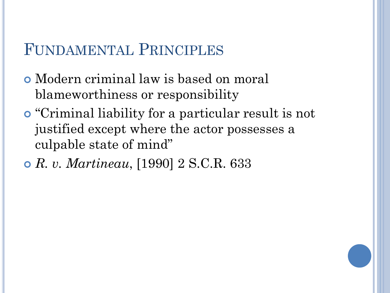## FUNDAMENTAL PRINCIPLES

- Modern criminal law is based on moral blameworthiness or responsibility
- "Criminal liability for a particular result is not justified except where the actor possesses a culpable state of mind"
- *R. v. Martineau*, [1990] 2 S.C.R. 633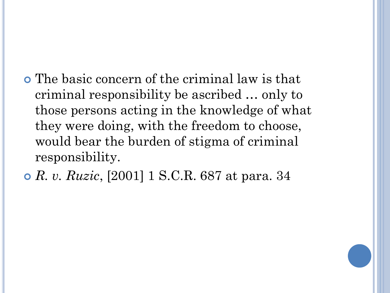The basic concern of the criminal law is that criminal responsibility be ascribed … only to those persons acting in the knowledge of what they were doing, with the freedom to choose, would bear the burden of stigma of criminal responsibility.

*R. v. Ruzic*, [2001] 1 S.C.R. 687 at para. 34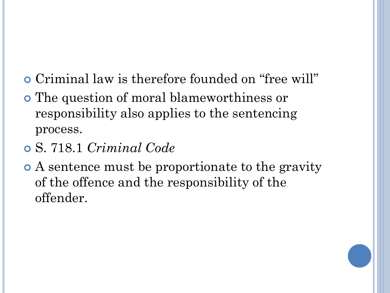- Criminal law is therefore founded on "free will"
- The question of moral blameworthiness or responsibility also applies to the sentencing process.
- S. 718.1 *Criminal Code*
- A sentence must be proportionate to the gravity of the offence and the responsibility of the offender.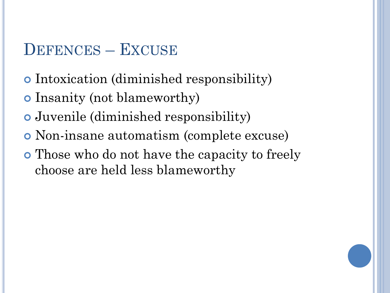# DEFENCES – EXCUSE

- Intoxication (diminished responsibility)
- Insanity (not blameworthy)
- Juvenile (diminished responsibility)
- Non-insane automatism (complete excuse)
- Those who do not have the capacity to freely choose are held less blameworthy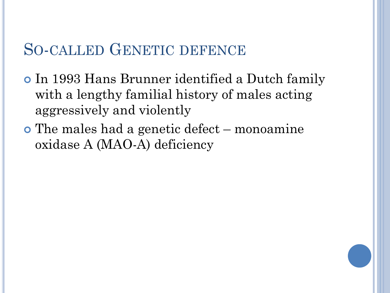#### SO-CALLED GENETIC DEFENCE

- In 1993 Hans Brunner identified a Dutch family with a lengthy familial history of males acting aggressively and violently
- The males had a genetic defect monoamine oxidase A (MAO-A) deficiency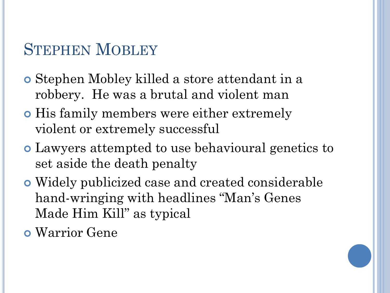## STEPHEN MOBLEY

- Stephen Mobley killed a store attendant in a robbery. He was a brutal and violent man
- **His family members were either extremely** violent or extremely successful
- Lawyers attempted to use behavioural genetics to set aside the death penalty
- Widely publicized case and created considerable hand-wringing with headlines "Man's Genes Made Him Kill" as typical
- Warrior Gene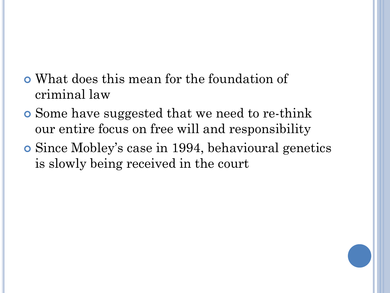- What does this mean for the foundation of criminal law
- Some have suggested that we need to re-think our entire focus on free will and responsibility
- Since Mobley's case in 1994, behavioural genetics is slowly being received in the court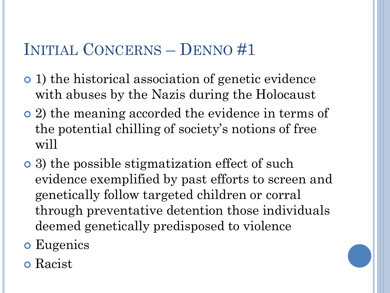# INITIAL CONCERNS – DENNO #1

- 1) the historical association of genetic evidence with abuses by the Nazis during the Holocaust
- 2) the meaning accorded the evidence in terms of the potential chilling of society's notions of free will
- 3) the possible stigmatization effect of such evidence exemplified by past efforts to screen and genetically follow targeted children or corral through preventative detention those individuals deemed genetically predisposed to violence
- **o** Eugenics
- Racist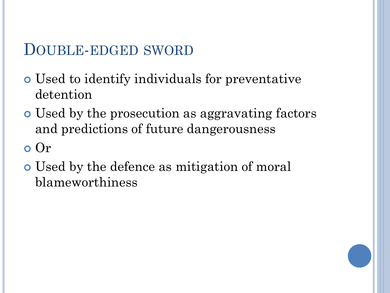#### DOUBLE-EDGED SWORD

- Used to identify individuals for preventative detention
- Used by the prosecution as aggravating factors and predictions of future dangerousness
- Or
- Used by the defence as mitigation of moral blameworthiness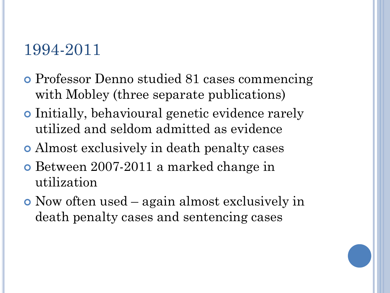## 1994-2011

- Professor Denno studied 81 cases commencing with Mobley (three separate publications)
- Initially, behavioural genetic evidence rarely utilized and seldom admitted as evidence
- Almost exclusively in death penalty cases
- Between 2007-2011 a marked change in utilization
- Now often used again almost exclusively in death penalty cases and sentencing cases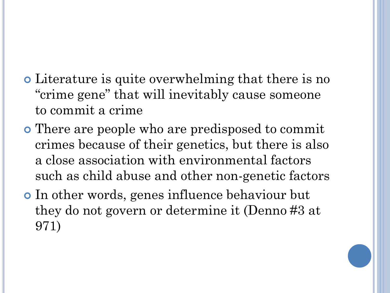- Literature is quite overwhelming that there is no "crime gene" that will inevitably cause someone to commit a crime
- There are people who are predisposed to commit crimes because of their genetics, but there is also a close association with environmental factors such as child abuse and other non-genetic factors
- In other words, genes influence behaviour but they do not govern or determine it (Denno #3 at 971)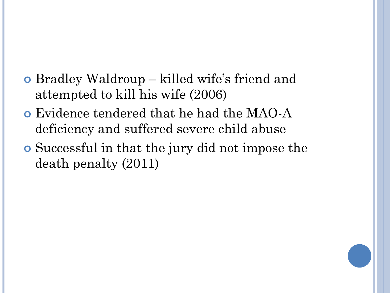- Bradley Waldroup killed wife's friend and attempted to kill his wife (2006)
- Evidence tendered that he had the MAO-A deficiency and suffered severe child abuse
- Successful in that the jury did not impose the death penalty (2011)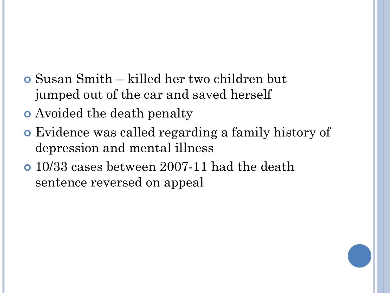- Susan Smith killed her two children but jumped out of the car and saved herself
- Avoided the death penalty
- Evidence was called regarding a family history of depression and mental illness
- 10/33 cases between 2007-11 had the death sentence reversed on appeal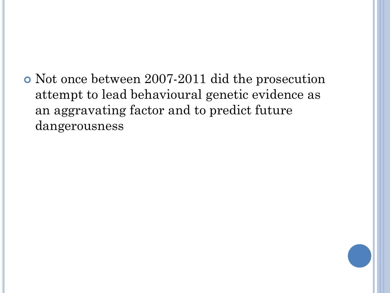Not once between 2007-2011 did the prosecution attempt to lead behavioural genetic evidence as an aggravating factor and to predict future dangerousness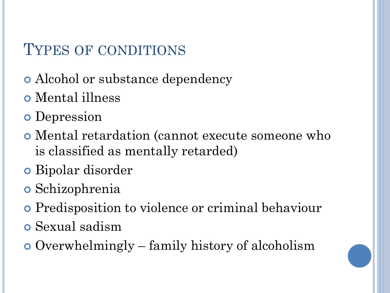# TYPES OF CONDITIONS

- Alcohol or substance dependency
- Mental illness
- **o** Depression
- Mental retardation (cannot execute someone who is classified as mentally retarded)
- Bipolar disorder
- Schizophrenia
- Predisposition to violence or criminal behaviour
- Sexual sadism
- Overwhelmingly family history of alcoholism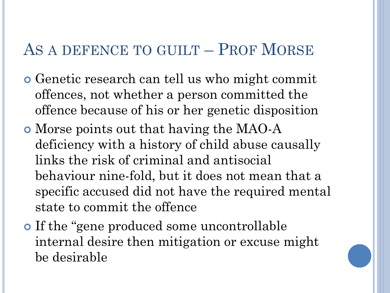#### AS A DEFENCE TO GUILT – PROF MORSE

- Genetic research can tell us who might commit offences, not whether a person committed the offence because of his or her genetic disposition
- Morse points out that having the MAO-A deficiency with a history of child abuse causally links the risk of criminal and antisocial behaviour nine-fold, but it does not mean that a specific accused did not have the required mental state to commit the offence
- If the "gene produced some uncontrollable internal desire then mitigation or excuse might be desirable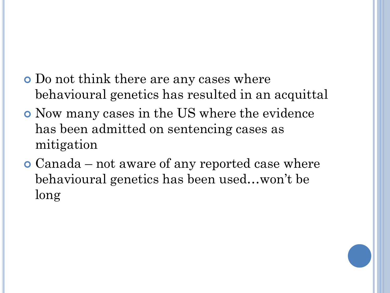- Do not think there are any cases where behavioural genetics has resulted in an acquittal
- Now many cases in the US where the evidence has been admitted on sentencing cases as mitigation
- Canada not aware of any reported case where behavioural genetics has been used…won't be long